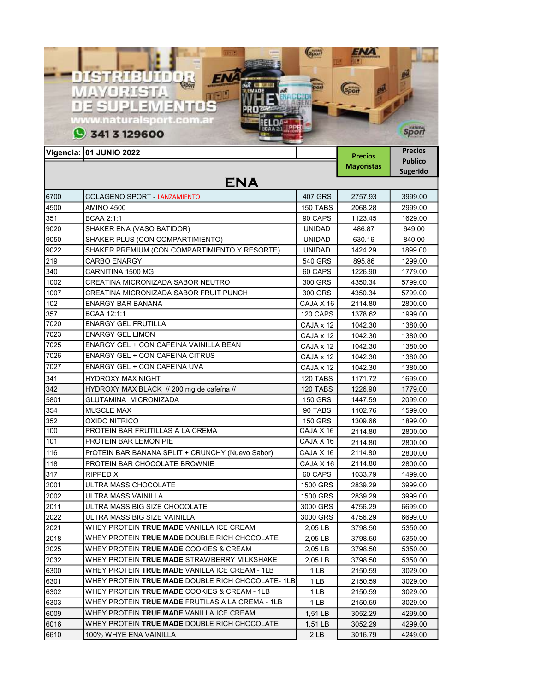|      |                                                           | Soon           | 3 M L                               |                                                     |
|------|-----------------------------------------------------------|----------------|-------------------------------------|-----------------------------------------------------|
|      | DISTRIBUIDOR<br><b>WAYORISTA</b><br><b>DE SUPLEMENTOS</b> |                |                                     |                                                     |
|      | www.naturalsport.com.ai<br>341 3 129600                   |                |                                     | sport                                               |
|      | Vigencia: 01 JUNIO 2022                                   |                | <b>Precios</b><br><b>Mayoristas</b> | <b>Precios</b><br><b>Publico</b><br><b>Sugerido</b> |
| 6700 | <b>ENA</b><br><b>COLAGENO SPORT - LANZAMIENTO</b>         | 407 GRS        | 2757.93                             | 3999.00                                             |
| 4500 | AMINO 4500                                                | 150 TABS       | 2068.28                             | 2999.00                                             |
| 351  | <b>BCAA 2:1:1</b>                                         | 90 CAPS        | 1123.45                             | 1629.00                                             |
| 9020 | SHAKER ENA (VASO BATIDOR)                                 | <b>UNIDAD</b>  | 486.87                              | 649.00                                              |
| 9050 | SHAKER PLUS (CON COMPARTIMIENTO)                          | <b>UNIDAD</b>  | 630.16                              | 840.00                                              |
| 9022 | SHAKER PREMIUM (CON COMPARTIMIENTO Y RESORTE)             | <b>UNIDAD</b>  | 1424.29                             | 1899.00                                             |
| 219  | <b>CARBO ENARGY</b>                                       | 540 GRS        | 895.86                              | 1299.00                                             |
| 340  | CARNITINA 1500 MG                                         | 60 CAPS        | 1226.90                             | 1779.00                                             |
| 1002 | CREATINA MICRONIZADA SABOR NEUTRO                         | 300 GRS        | 4350.34                             | 5799.00                                             |
| 1007 | CREATINA MICRONIZADA SABOR FRUIT PUNCH                    | 300 GRS        | 4350.34                             | 5799.00                                             |
| 102  | <b>ENARGY BAR BANANA</b>                                  | CAJA X 16      | 2114.80                             | 2800.00                                             |
| 357  | <b>BCAA 12:1:1</b>                                        | 120 CAPS       | 1378.62                             | 1999.00                                             |
| 7020 | <b>ENARGY GEL FRUTILLA</b>                                | CAJA x 12      | 1042.30                             | 1380.00                                             |
| 7023 | <b>ENARGY GEL LIMON</b>                                   | CAJA x 12      | 1042.30                             | 1380.00                                             |
| 7025 | ENARGY GEL + CON CAFEINA VAINILLA BEAN                    | CAJA x 12      | 1042.30                             | 1380.00                                             |
| 7026 | <b>ENARGY GEL + CON CAFEINA CITRUS</b>                    | CAJA x 12      | 1042.30                             | 1380.00                                             |
| 7027 | ENARGY GEL + CON CAFEINA UVA                              | CAJA x 12      | 1042.30                             | 1380.00                                             |
| 341  | HYDROXY MAX NIGHT                                         | 120 TABS       | 1171.72                             | 1699.00                                             |
| 342  | HYDROXY MAX BLACK // 200 mg de cafeína //                 | 120 TABS       | 1226.90                             | 1779.00                                             |
| 5801 | GLUTAMINA MICRONIZADA                                     | <b>150 GRS</b> | 1447.59                             | 2099.00                                             |
| 354  | <b>MUSCLE MAX</b>                                         | 90 TABS        | 1102.76                             | 1599.00                                             |
| 352  | OXIDO NITRICO                                             | <b>150 GRS</b> | 1309.66                             | 1899.00                                             |
| 100  | PROTEIN BAR FRUTILLAS A LA CREMA                          | CAJA X 16      | 2114.80                             | 2800.00                                             |
| 101  | PROTEIN BAR LEMON PIE                                     | CAJA X 16      | 2114.80                             | 2800.00                                             |
| 116  | PrOTEIN BAR BANANA SPLIT + CRUNCHY (Nuevo Sabor)          | CAJA X 16      | 2114.80                             | 2800.00                                             |
| 118  | PROTEIN BAR CHOCOLATE BROWNIE                             | CAJA X 16      | 2114.80                             | 2800.00                                             |
| 317  | RIPPED X                                                  | 60 CAPS        | 1033.79                             | 1499.00                                             |
| 2001 | ULTRA MASS CHOCOLATE                                      | 1500 GRS       | 2839.29                             | 3999.00                                             |
| 2002 | ULTRA MASS VAINILLA                                       | 1500 GRS       | 2839.29                             | 3999.00                                             |
| 2011 | ULTRA MASS BIG SIZE CHOCOLATE                             | 3000 GRS       | 4756.29                             | 6699.00                                             |
| 2022 | ULTRA MASS BIG SIZE VAINILLA                              | 3000 GRS       | 4756.29                             | 6699.00                                             |
| 2021 | WHEY PROTEIN <b>TRUE MADE</b> VANILLA ICE CREAM           | 2,05 LB        | 3798.50                             | 5350.00                                             |
| 2018 | WHEY PROTEIN TRUE MADE DOUBLE RICH CHOCOLATE              | 2,05 LB        | 3798.50                             | 5350.00                                             |
| 2025 | WHEY PROTEIN TRUE MADE COOKIES & CREAM                    | 2,05 LB        | 3798.50                             | 5350.00                                             |
| 2032 | WHEY PROTEIN TRUE MADE STRAWBERRY MILKSHAKE               | 2,05 LB        | 3798.50                             | 5350.00                                             |
| 6300 | WHEY PROTEIN TRUE MADE VANILLA ICE CREAM - 1LB            | 1 LB           | 2150.59                             | 3029.00                                             |
| 6301 | WHEY PROTEIN TRUE MADE DOUBLE RICH CHOCOLATE-1LB          | 1 LB           | 2150.59                             | 3029.00                                             |
| 6302 | WHEY PROTEIN TRUE MADE COOKIES & CREAM - 1LB              | 1 LB           | 2150.59                             | 3029.00                                             |
| 6303 | WHEY PROTEIN TRUE MADE FRUTILAS A LA CREMA - 1LB          | 1 LB           | 2150.59                             | 3029.00                                             |
| 6009 | WHEY PROTEIN TRUE MADE VANILLA ICE CREAM                  | 1,51 LB        | 3052.29                             | 4299.00                                             |
| 6016 | WHEY PROTEIN TRUE MADE DOUBLE RICH CHOCOLATE              | $1,51$ LB      | 3052.29                             | 4299.00                                             |
| 6610 | 100% WHYE ENA VAINILLA                                    | 2LB            | 3016.79                             | 4249.00                                             |